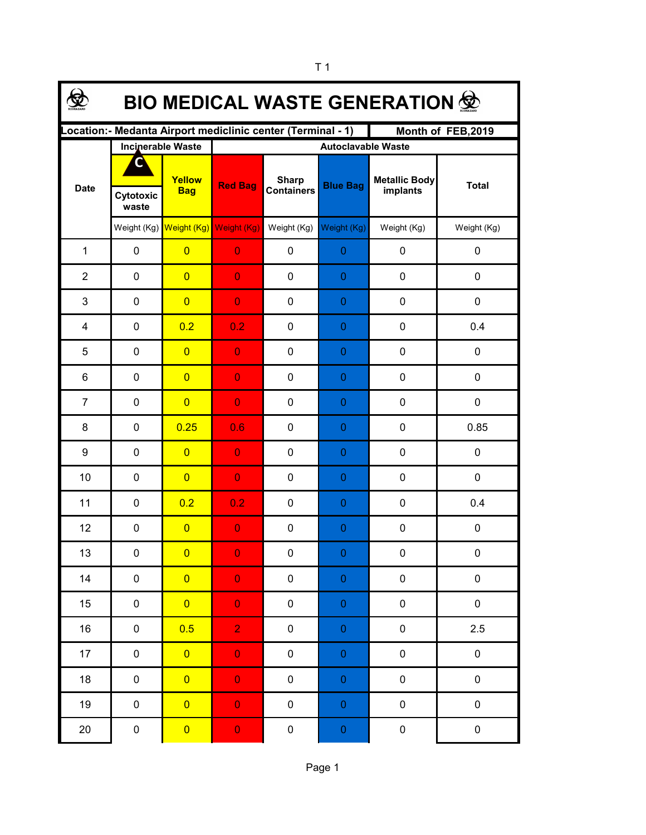| <b>BIO MEDICAL WASTE GENERATION 佥</b>                                            |             |                                     |                           |                                   |                  |                                  |              |  |  |  |  |  |
|----------------------------------------------------------------------------------|-------------|-------------------------------------|---------------------------|-----------------------------------|------------------|----------------------------------|--------------|--|--|--|--|--|
| Location:- Medanta Airport mediclinic center (Terminal - 1)<br>Month of FEB,2019 |             |                                     |                           |                                   |                  |                                  |              |  |  |  |  |  |
|                                                                                  |             | <b>Incinerable Waste</b>            | <b>Autoclavable Waste</b> |                                   |                  |                                  |              |  |  |  |  |  |
| <b>Date</b>                                                                      | Cytotoxic   | Yellow<br><b>Bag</b>                | <b>Red Bag</b>            | <b>Sharp</b><br><b>Containers</b> | <b>Blue Bag</b>  | <b>Metallic Body</b><br>implants | <b>Total</b> |  |  |  |  |  |
|                                                                                  | waste       |                                     |                           |                                   |                  |                                  |              |  |  |  |  |  |
|                                                                                  |             | Weight (Kg) Weight (Kg) Weight (Kg) |                           | Weight (Kg)                       | Weight (Kg)      | Weight (Kg)                      | Weight (Kg)  |  |  |  |  |  |
| $\mathbf{1}$                                                                     | 0           | $\overline{0}$                      | $\overline{0}$            | $\mathbf 0$                       | $\boldsymbol{0}$ | $\pmb{0}$                        | 0            |  |  |  |  |  |
| $\overline{2}$                                                                   | $\pmb{0}$   | $\overline{0}$                      | $\overline{0}$            | $\mathbf 0$                       | $\boldsymbol{0}$ | $\pmb{0}$                        | 0            |  |  |  |  |  |
| 3                                                                                | $\pmb{0}$   | $\overline{0}$                      | $\overline{0}$            | $\mathbf 0$                       | $\boldsymbol{0}$ | $\pmb{0}$                        | 0            |  |  |  |  |  |
| 4                                                                                | $\pmb{0}$   | 0.2                                 | 0.2                       | $\mathbf 0$                       | $\boldsymbol{0}$ | $\pmb{0}$                        | 0.4          |  |  |  |  |  |
| 5                                                                                | $\mathbf 0$ | $\overline{0}$                      | $\overline{0}$            | $\mathbf 0$                       | 0                | $\mathbf 0$                      | 0            |  |  |  |  |  |
| 6                                                                                | $\mathbf 0$ | $\overline{0}$                      | $\overline{0}$            | $\mathbf 0$                       | 0                | $\mathbf 0$                      | 0            |  |  |  |  |  |
| $\overline{7}$                                                                   | $\mathbf 0$ | $\overline{0}$                      | $\overline{0}$            | $\mathbf 0$                       | $\boldsymbol{0}$ | $\mathbf 0$                      | 0            |  |  |  |  |  |
| 8                                                                                | $\mathbf 0$ | 0.25                                | 0.6                       | $\mathbf 0$                       | 0                | $\pmb{0}$                        | 0.85         |  |  |  |  |  |
| 9                                                                                | $\mathbf 0$ | $\overline{0}$                      | $\overline{0}$            | $\mathbf 0$                       | $\boldsymbol{0}$ | $\pmb{0}$                        | 0            |  |  |  |  |  |
| 10                                                                               | $\mathbf 0$ | $\overline{0}$                      | $\overline{0}$            | $\mathbf 0$                       | $\boldsymbol{0}$ | $\pmb{0}$                        | 0            |  |  |  |  |  |
| 11                                                                               | $\mathbf 0$ | 0.2                                 | 0.2                       | $\mathbf 0$                       | $\boldsymbol{0}$ | $\mathbf 0$                      | 0.4          |  |  |  |  |  |
| 12                                                                               | $\pmb{0}$   | $\overline{0}$                      | $\overline{0}$            | $\mathbf 0$                       | 0                | 0                                | 0            |  |  |  |  |  |
| 13                                                                               | 0           | $\overline{\mathbf{0}}$             | $\mathbf{0}$              | 0                                 | $\Omega$         | $\pmb{0}$                        | $\pmb{0}$    |  |  |  |  |  |
| 14                                                                               | $\pmb{0}$   | $\overline{0}$                      | $\mathbf 0$               | $\pmb{0}$                         | $\pmb{0}$        | $\pmb{0}$                        | $\pmb{0}$    |  |  |  |  |  |
| 15                                                                               | $\pmb{0}$   | $\overline{0}$                      | $\mathbf 0$               | 0                                 | $\boldsymbol{0}$ | $\pmb{0}$                        | $\pmb{0}$    |  |  |  |  |  |
| 16                                                                               | 0           | 0.5                                 | $\overline{2}$            | 0                                 | $\pmb{0}$        | $\pmb{0}$                        | 2.5          |  |  |  |  |  |
| 17                                                                               | 0           | $\overline{0}$                      | $\mathbf 0$               | $\pmb{0}$                         | $\pmb{0}$        | $\pmb{0}$                        | $\pmb{0}$    |  |  |  |  |  |
| 18                                                                               | $\pmb{0}$   | $\overline{0}$                      | $\mathbf 0$               | 0                                 | $\pmb{0}$        | $\pmb{0}$                        | $\pmb{0}$    |  |  |  |  |  |
| 19                                                                               | $\pmb{0}$   | $\overline{0}$                      | $\mathbf 0$               | 0                                 | $\boldsymbol{0}$ | $\pmb{0}$                        | $\pmb{0}$    |  |  |  |  |  |
| $20\,$                                                                           | $\pmb{0}$   | $\overline{\mathbf{0}}$             | $\mathbf 0$               | $\pmb{0}$                         | $\boldsymbol{0}$ | $\pmb{0}$                        | $\pmb{0}$    |  |  |  |  |  |